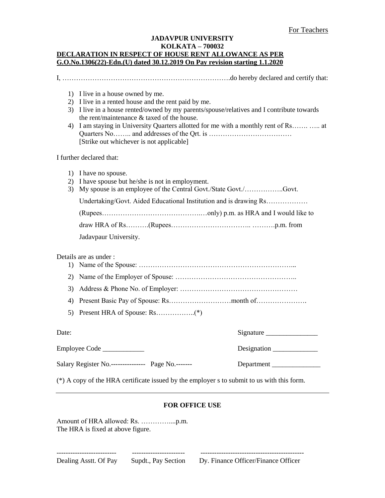# **JADAVPUR UNIVERSITY KOLKATA – 700032 DECLARATION IN RESPECT OF HOUSE RENT ALLOWANCE AS PER G.O.No.1306(22)-Edn.(U) dated 30.12.2019 On Pay revision starting 1.1.2020**

I, ……………………………………………………………….do hereby declared and certify that:

- 2) I live in a rented house and the rent paid by me.
- 3) I live in a house rented/owned by my parents/spouse/relatives and I contribute towards the rent/maintenance & taxed of the house.
- 4) I am staying in University Quarters allotted for me with a monthly rent of Rs……. ….. at Quarters No…….. and addresses of the Qrt. is ……………………………… [Strike out whichever is not applicable]

I further declared that:

|  | 1) I have no spouse. |
|--|----------------------|
|  |                      |

- 2) I have spouse but he/she is not in employment.
- 3) My spouse is an employee of the Central Govt./State Govt./……………..Govt.

Undertaking/Govt. Aided Educational Institution and is drawing Rs………………

Jadavpaur University.

Details are as under :

- 1) Name of the Spouse: …………………………………………………………...
- 2) Name of the Employer of Spouse: ……………………………………………..
- 3) Address & Phone No. of Employer: ……………………………………………
- 4) Present Basic Pay of Spouse: Rs………………………month of………………….
- 5) Present HRA of Spouse: Rs……………..(\*)

Employee Code \_\_\_\_\_\_\_\_\_\_\_\_ Designation \_\_\_\_\_\_\_\_\_\_\_\_\_

Salary Register No.----------------- Page No.-------- Department

 $Signature$ 

(\*) A copy of the HRA certificate issued by the employer s to submit to us with this form.

-------------------------- ----------------------- ---------------------------------------------

## **FOR OFFICE USE**

Amount of HRA allowed: Rs. …………....p.m. The HRA is fixed at above figure.

Dealing Asstt. Of Pay Supdt., Pay Section Dy. Finance Officer/Finance Officer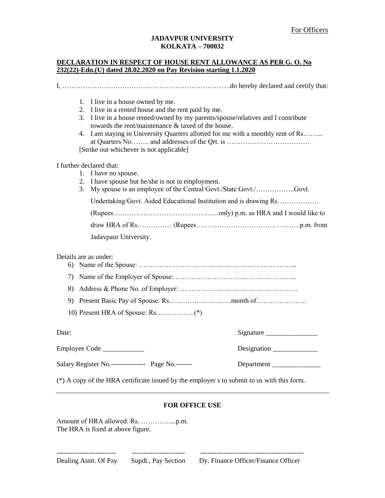#### **JADAVPUR UNIVERSITY KOLKATA – 700032**

## **DECLARATION IN RESPECT OF HOUSE RENT ALLOWANCE AS PER G. O. No 232(22)-Edn.(U) dated 28.02.2020 on Pay Revision starting 1.1.2020**

I, ……………………………………………………………….do hereby declared and certify that: 1. I live in a house owned by me. 2. I live in a rented house and the rent paid by me. 3. I live in a house rented/owned by my parents/spouse/relatives and I contribute towards the rent/maintenance & taxed of the house. 4. I am staying in University Quarters allotted for me with a monthly rent of Rs……... at Quarters No…….. and addresses of the Qrt. is ……………………………… [Strike out whichever is not applicable] I further declared that: 1. I have no spouse. 2. I have spouse but he/she is not in employment. 3. My spouse is an employee of the Central Govt./State Govt./……………..Govt. Undertaking/Govt. Aided Educational Institution and is drawing Rs……………… (Rupees…………………………………….…only) p.m. as HRA and I would like to draw HRA of Rs…………… (Rupees…………………………….. ……….p.m. from Jadavpaur University. Details are as under: 6) Name of the Spouse: …………………………………………………………... 7) Name of the Employer of Spouse: …………………………………………….. 8) Address & Phone No. of Employer: …………………………………………… 9) Present Basic Pay of Spouse: Rs………………………month of…………………. 10) Present HRA of Spouse: Rs……………..(\*) Date: Signature  $\sum_{i=1}^{n}$ Employee Code \_\_\_\_\_\_\_\_\_\_\_\_ Designation \_\_\_\_\_\_\_\_\_\_\_\_\_ Salary Register No.----------------- Page No.-------- Department

(\*) A copy of the HRA certificate issued by the employer s to submit to us with this form.

## **FOR OFFICE USE**

Amount of HRA allowed: Rs. …………....p.m. The HRA is fixed at above figure.

Dealing Asstt. Of Pay Supdt., Pay Section Dy. Finance Officer/Finance Officer

-------------------------- ----------------------- ---------------------------------------------